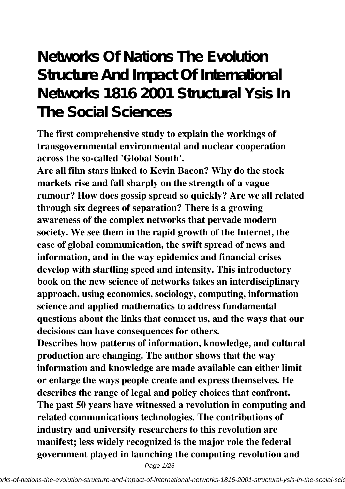# **Networks Of Nations The Evolution Structure And Impact Of International Networks 1816 2001 Structural Ysis In The Social Sciences**

**The first comprehensive study to explain the workings of transgovernmental environmental and nuclear cooperation across the so-called 'Global South'.**

**Are all film stars linked to Kevin Bacon? Why do the stock markets rise and fall sharply on the strength of a vague rumour? How does gossip spread so quickly? Are we all related through six degrees of separation? There is a growing awareness of the complex networks that pervade modern society. We see them in the rapid growth of the Internet, the ease of global communication, the swift spread of news and information, and in the way epidemics and financial crises develop with startling speed and intensity. This introductory book on the new science of networks takes an interdisciplinary approach, using economics, sociology, computing, information science and applied mathematics to address fundamental questions about the links that connect us, and the ways that our decisions can have consequences for others.**

**Describes how patterns of information, knowledge, and cultural production are changing. The author shows that the way information and knowledge are made available can either limit or enlarge the ways people create and express themselves. He describes the range of legal and policy choices that confront. The past 50 years have witnessed a revolution in computing and related communications technologies. The contributions of industry and university researchers to this revolution are manifest; less widely recognized is the major role the federal government played in launching the computing revolution and**

Page 1/26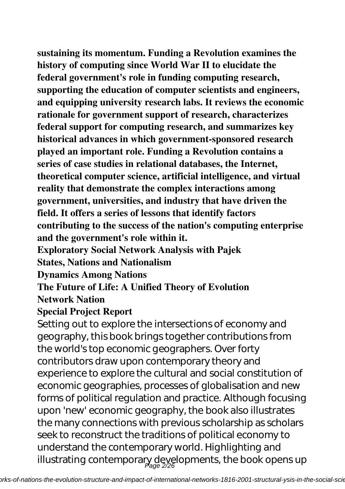**sustaining its momentum. Funding a Revolution examines the history of computing since World War II to elucidate the federal government's role in funding computing research, supporting the education of computer scientists and engineers, and equipping university research labs. It reviews the economic rationale for government support of research, characterizes federal support for computing research, and summarizes key historical advances in which government-sponsored research played an important role. Funding a Revolution contains a series of case studies in relational databases, the Internet, theoretical computer science, artificial intelligence, and virtual reality that demonstrate the complex interactions among government, universities, and industry that have driven the field. It offers a series of lessons that identify factors contributing to the success of the nation's computing enterprise and the government's role within it.**

**Exploratory Social Network Analysis with Pajek**

**States, Nations and Nationalism**

**Dynamics Among Nations**

**The Future of Life: A Unified Theory of Evolution Network Nation**

### **Special Project Report**

Setting out to explore the intersections of economy and geography, this book brings together contributions from the world's top economic geographers. Over forty contributors draw upon contemporary theory and experience to explore the cultural and social constitution of economic geographies, processes of globalisation and new forms of political regulation and practice. Although focusing upon 'new' economic geography, the book also illustrates the many connections with previous scholarship as scholars seek to reconstruct the traditions of political economy to understand the contemporary world. Highlighting and illustrating contemporary developments, the book opens up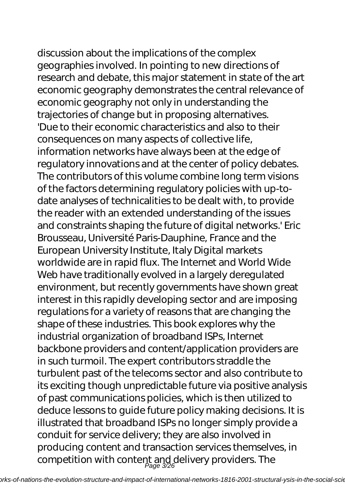discussion about the implications of the complex geographies involved. In pointing to new directions of research and debate, this major statement in state of the art economic geography demonstrates the central relevance of economic geography not only in understanding the trajectories of change but in proposing alternatives. 'Due to their economic characteristics and also to their consequences on many aspects of collective life, information networks have always been at the edge of regulatory innovations and at the center of policy debates. The contributors of this volume combine long term visions of the factors determining regulatory policies with up-todate analyses of technicalities to be dealt with, to provide the reader with an extended understanding of the issues and constraints shaping the future of digital networks.' Eric Brousseau, Université Paris-Dauphine, France and the European University Institute, Italy Digital markets worldwide are in rapid flux. The Internet and World Wide Web have traditionally evolved in a largely deregulated environment, but recently governments have shown great interest in this rapidly developing sector and are imposing regulations for a variety of reasons that are changing the shape of these industries. This book explores why the industrial organization of broadband ISPs, Internet backbone providers and content/application providers are in such turmoil. The expert contributors straddle the turbulent past of the telecoms sector and also contribute to its exciting though unpredictable future via positive analysis of past communications policies, which is then utilized to deduce lessons to guide future policy making decisions. It is illustrated that broadband ISPs no longer simply provide a conduit for service delivery; they are also involved in producing content and transaction services themselves, in

competition with content and delivery providers. The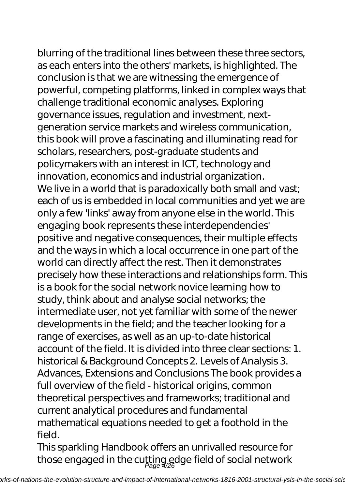blurring of the traditional lines between these three sectors, as each enters into the others' markets, is highlighted. The conclusion is that we are witnessing the emergence of powerful, competing platforms, linked in complex ways that challenge traditional economic analyses. Exploring governance issues, regulation and investment, nextgeneration service markets and wireless communication, this book will prove a fascinating and illuminating read for scholars, researchers, post-graduate students and policymakers with an interest in ICT, technology and innovation, economics and industrial organization. We live in a world that is paradoxically both small and vast; each of us is embedded in local communities and yet we are only a few 'links' away from anyone else in the world. This engaging book represents these interdependencies' positive and negative consequences, their multiple effects and the ways in which a local occurrence in one part of the world can directly affect the rest. Then it demonstrates precisely how these interactions and relationships form. This is a book for the social network novice learning how to study, think about and analyse social networks; the intermediate user, not yet familiar with some of the newer developments in the field; and the teacher looking for a range of exercises, as well as an up-to-date historical account of the field. It is divided into three clear sections: 1. historical & Background Concepts 2. Levels of Analysis 3. Advances, Extensions and Conclusions The book provides a full overview of the field - historical origins, common theoretical perspectives and frameworks; traditional and current analytical procedures and fundamental mathematical equations needed to get a foothold in the field.

This sparkling Handbook offers an unrivalled resource for those engaged in the cutting edge field of social network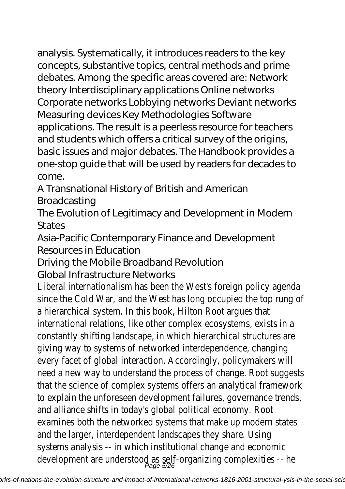analysis. Systematically, it introduces readers to the key concepts, substantive topics, central methods and prime debates. Among the specific areas covered are: Network theory Interdisciplinary applications Online networks Corporate networks Lobbying networks Deviant networks Measuring devices Key Methodologies Software applications. The result is a peerless resource for teachers and students which offers a critical survey of the origins, basic issues and major debates. The Handbook provides a one-stop guide that will be used by readers for decades to come.

A Transnational History of British and American **Broadcasting** 

The Evolution of Legitimacy and Development in Modern **States** 

Asia-Pacific Contemporary Finance and Development Resources in Education

Driving the Mobile Broadband Revolution

Global Infrastructure Networks

Liberal internationalism has been the West's foreign policy agent since the Cold War, and the West has long occupied the top rung a hierarchical system. In this book, Hilton Root argues that international relations, like other complex ecosystems, exists in constantly shifting landscape, in which hierarchical structures giving way to systems of networked interdependence, changing every facet of global interaction. Accordingly, policymakers will need a new way to understand the process of change. Root suggest that the science of complex systems offers an analytical frame to explain the unforeseen development failures, governance tre and alliance shifts in today's global political economy. Root examines both the networked systems that make up modern states and the larger, interdependent landscapes they share. Using systems analysis -- in which institutional change and economic development are understood as self-organizing complexities -- l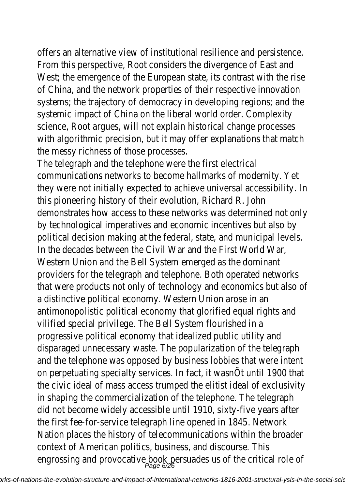offers an alternative view of institutional resilience and persist From this perspective, Root considers the divergence of East a West; the emergence of the European state, its contrast with of China, and the network properties of their respective innovation systems; the trajectory of democracy in developing regions; an systemic impact of China on the liberal world order. Complexity science, Root argues, will not explain historical change process with algorithmic precision, but it may offer explanations that no the messy richness of those processes.

The telegraph and the telephone were the first electrical communications networks to become hallmarks of modernity. they were not initially expected to achieve universal accessibili this pioneering history of their evolution, Richard R. John demonstrates how access to these networks was determined by technological imperatives and economic incentives but also political decision making at the federal, state, and municipal lev In the decades between the Civil War and the First World War, Western Union and the Bell System emerged as the dominant providers for the telegraph and telephone. Both operated netw that were products not only of technology and economics but a distinctive political economy. Western Union arose in an antimonopolistic political economy that glorified equal rights are vilified special privilege. The Bell System flourished in a progressive political economy that idealized public utility and disparaged unnecessary waste. The popularization of the telegr and the telephone was opposed by business lobbies that were on perpetuating specialty services. In fact, it wasnOt until 190 the civic ideal of mass access trumped the elitist ideal of exclu in shaping the commercialization of the telephone. The telegraphic did not become widely accessible until 1910, sixty-five years at the first fee-for-service telegraph line opened in 1845. Networ Nation places the history of telecommunications within the broader context of American politics, business, and discourse. This engrossing and provocative book persuades us of the critical role of the state of the state of  $\rho_{\texttt{age 678}}$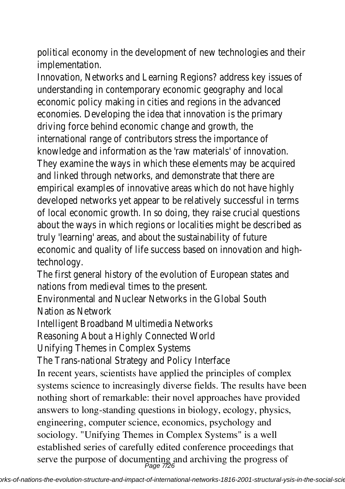political economy in the development of new technologies and implementation.

Innovation, Networks and Learning Regions? address key issues understanding in contemporary economic geography and local economic policy making in cities and regions in the advanced economies. Developing the idea that innovation is the primary driving force behind economic change and growth, the international range of contributors stress the importance of knowledge and information as the 'raw materials' of innovation. They examine the ways in which these elements may be acquired and linked through networks, and demonstrate that there are empirical examples of innovative areas which do not have highl developed networks yet appear to be relatively successful in to of local economic growth. In so doing, they raise crucial questi about the ways in which regions or localities might be describe truly 'learning' areas, and about the sustainability of future economic and quality of life success based on innovation and h technology.

The first general history of the evolution of European states and nations from medieval times to the present.

Environmental and Nuclear Networks in the Global South Nation as Network

Intelligent Broadband Multimedia Networks

Reasoning About a Highly Connected World

Unifying Themes in Complex Systems

The Trans-national Strategy and Policy Interface In recent years, scientists have applied the principles of complex systems science to increasingly diverse fields. The results have been nothing short of remarkable: their novel approaches have provided answers to long-standing questions in biology, ecology, physics, engineering, computer science, economics, psychology and sociology. "Unifying Themes in Complex Systems" is a well established series of carefully edited conference proceedings that serve the purpose of documenting and archiving the progress of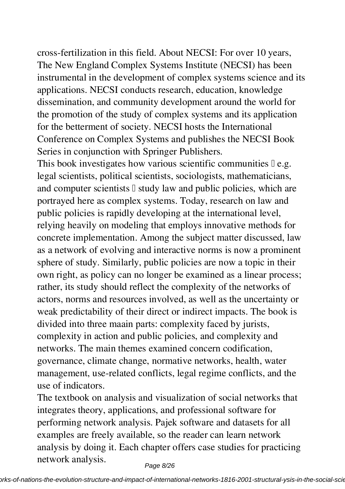cross-fertilization in this field. About NECSI: For over 10 years, The New England Complex Systems Institute (NECSI) has been instrumental in the development of complex systems science and its applications. NECSI conducts research, education, knowledge dissemination, and community development around the world for the promotion of the study of complex systems and its application for the betterment of society. NECSI hosts the International Conference on Complex Systems and publishes the NECSI Book Series in conjunction with Springer Publishers.

This book investigates how various scientific communities  $\mathbb{I}$  e.g. legal scientists, political scientists, sociologists, mathematicians, and computer scientists  $\mathbb I$  study law and public policies, which are portrayed here as complex systems. Today, research on law and public policies is rapidly developing at the international level, relying heavily on modeling that employs innovative methods for concrete implementation. Among the subject matter discussed, law as a network of evolving and interactive norms is now a prominent sphere of study. Similarly, public policies are now a topic in their own right, as policy can no longer be examined as a linear process; rather, its study should reflect the complexity of the networks of actors, norms and resources involved, as well as the uncertainty or weak predictability of their direct or indirect impacts. The book is divided into three maain parts: complexity faced by jurists, complexity in action and public policies, and complexity and networks. The main themes examined concern codification, governance, climate change, normative networks, health, water management, use-related conflicts, legal regime conflicts, and the use of indicators.

The textbook on analysis and visualization of social networks that integrates theory, applications, and professional software for performing network analysis. Pajek software and datasets for all examples are freely available, so the reader can learn network analysis by doing it. Each chapter offers case studies for practicing network analysis.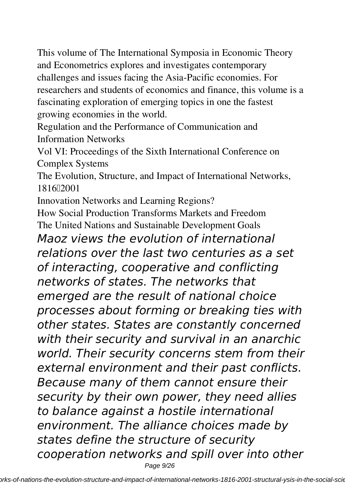This volume of The International Symposia in Economic Theory and Econometrics explores and investigates contemporary challenges and issues facing the Asia-Pacific economies. For researchers and students of economics and finance, this volume is a fascinating exploration of emerging topics in one the fastest growing economies in the world.

Regulation and the Performance of Communication and Information Networks

Vol VI: Proceedings of the Sixth International Conference on Complex Systems

The Evolution, Structure, and Impact of International Networks, 1816–2001

Innovation Networks and Learning Regions?

How Social Production Transforms Markets and Freedom The United Nations and Sustainable Development Goals

*Maoz views the evolution of international relations over the last two centuries as a set of interacting, cooperative and conflicting networks of states. The networks that emerged are the result of national choice processes about forming or breaking ties with other states. States are constantly concerned with their security and survival in an anarchic world. Their security concerns stem from their external environment and their past conflicts. Because many of them cannot ensure their security by their own power, they need allies to balance against a hostile international environment. The alliance choices made by states define the structure of security cooperation networks and spill over into other* Page 9/26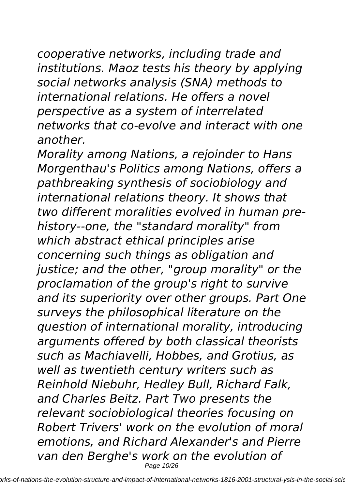*cooperative networks, including trade and institutions. Maoz tests his theory by applying social networks analysis (SNA) methods to international relations. He offers a novel perspective as a system of interrelated networks that co-evolve and interact with one another.*

*Morality among Nations, a rejoinder to Hans Morgenthau's Politics among Nations, offers a pathbreaking synthesis of sociobiology and international relations theory. It shows that two different moralities evolved in human prehistory--one, the "standard morality" from which abstract ethical principles arise concerning such things as obligation and justice; and the other, "group morality" or the proclamation of the group's right to survive and its superiority over other groups. Part One surveys the philosophical literature on the question of international morality, introducing arguments offered by both classical theorists such as Machiavelli, Hobbes, and Grotius, as well as twentieth century writers such as Reinhold Niebuhr, Hedley Bull, Richard Falk, and Charles Beitz. Part Two presents the relevant sociobiological theories focusing on Robert Trivers' work on the evolution of moral emotions, and Richard Alexander's and Pierre van den Berghe's work on the evolution of* Page 10/26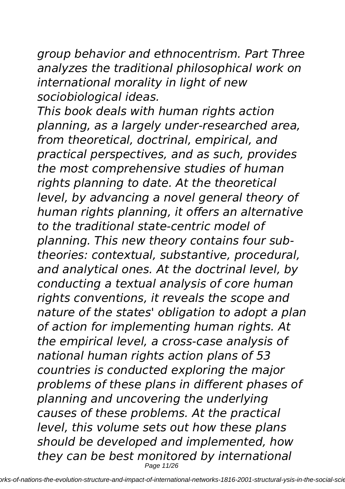*group behavior and ethnocentrism. Part Three analyzes the traditional philosophical work on international morality in light of new sociobiological ideas.*

*This book deals with human rights action planning, as a largely under-researched area, from theoretical, doctrinal, empirical, and practical perspectives, and as such, provides the most comprehensive studies of human rights planning to date. At the theoretical level, by advancing a novel general theory of human rights planning, it offers an alternative to the traditional state-centric model of planning. This new theory contains four subtheories: contextual, substantive, procedural, and analytical ones. At the doctrinal level, by conducting a textual analysis of core human rights conventions, it reveals the scope and nature of the states' obligation to adopt a plan of action for implementing human rights. At the empirical level, a cross-case analysis of national human rights action plans of 53 countries is conducted exploring the major problems of these plans in different phases of planning and uncovering the underlying causes of these problems. At the practical level, this volume sets out how these plans should be developed and implemented, how they can be best monitored by international* Page 11/26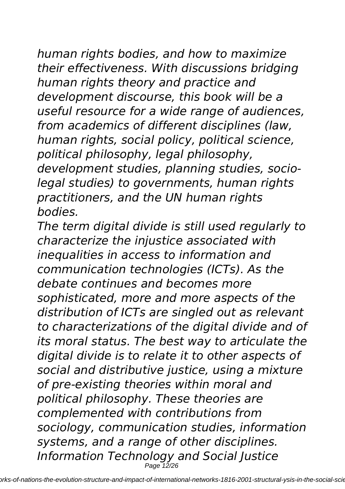*human rights bodies, and how to maximize their effectiveness. With discussions bridging human rights theory and practice and development discourse, this book will be a useful resource for a wide range of audiences, from academics of different disciplines (law, human rights, social policy, political science, political philosophy, legal philosophy, development studies, planning studies, sociolegal studies) to governments, human rights practitioners, and the UN human rights bodies.*

*The term digital divide is still used regularly to characterize the injustice associated with inequalities in access to information and communication technologies (ICTs). As the debate continues and becomes more sophisticated, more and more aspects of the distribution of ICTs are singled out as relevant to characterizations of the digital divide and of its moral status. The best way to articulate the digital divide is to relate it to other aspects of social and distributive justice, using a mixture of pre-existing theories within moral and political philosophy. These theories are complemented with contributions from sociology, communication studies, information systems, and a range of other disciplines. Information Technology and Social Justice* Page 12/26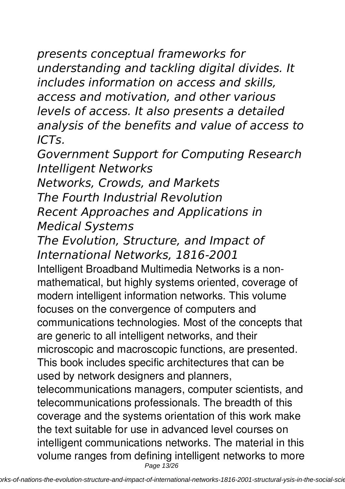*presents conceptual frameworks for understanding and tackling digital divides. It includes information on access and skills, access and motivation, and other various levels of access. It also presents a detailed analysis of the benefits and value of access to ICTs.*

*Government Support for Computing Research Intelligent Networks*

*Networks, Crowds, and Markets The Fourth Industrial Revolution Recent Approaches and Applications in Medical Systems*

*The Evolution, Structure, and Impact of International Networks, 1816-2001*

Intelligent Broadband Multimedia Networks is a nonmathematical, but highly systems oriented, coverage of modern intelligent information networks. This volume focuses on the convergence of computers and communications technologies. Most of the concepts that are generic to all intelligent networks, and their microscopic and macroscopic functions, are presented. This book includes specific architectures that can be used by network designers and planners, telecommunications managers, computer scientists, and telecommunications professionals. The breadth of this coverage and the systems orientation of this work make the text suitable for use in advanced level courses on intelligent communications networks. The material in this volume ranges from defining intelligent networks to more Page 13/26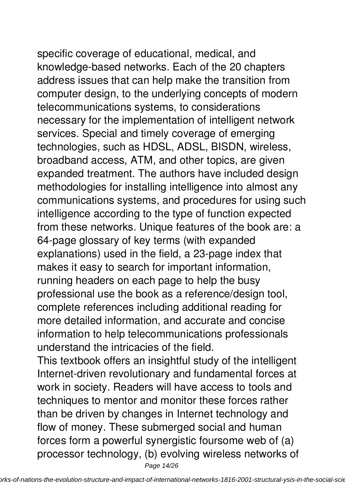specific coverage of educational, medical, and knowledge-based networks. Each of the 20 chapters address issues that can help make the transition from computer design, to the underlying concepts of modern telecommunications systems, to considerations necessary for the implementation of intelligent network services. Special and timely coverage of emerging technologies, such as HDSL, ADSL, BISDN, wireless, broadband access, ATM, and other topics, are given expanded treatment. The authors have included design methodologies for installing intelligence into almost any communications systems, and procedures for using such intelligence according to the type of function expected from these networks. Unique features of the book are: a 64-page glossary of key terms (with expanded explanations) used in the field, a 23-page index that makes it easy to search for important information, running headers on each page to help the busy professional use the book as a reference/design tool, complete references including additional reading for more detailed information, and accurate and concise information to help telecommunications professionals understand the intricacies of the field.

This textbook offers an insightful study of the intelligent Internet-driven revolutionary and fundamental forces at work in society. Readers will have access to tools and techniques to mentor and monitor these forces rather than be driven by changes in Internet technology and flow of money. These submerged social and human forces form a powerful synergistic foursome web of (a) processor technology, (b) evolving wireless networks of Page 14/26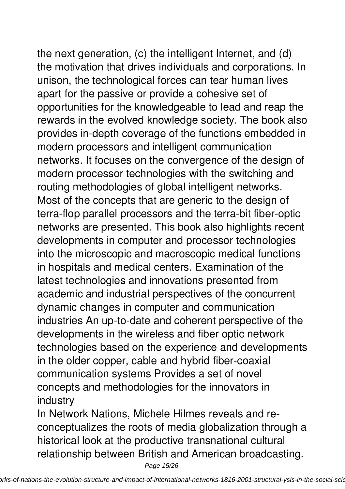the next generation, (c) the intelligent Internet, and (d)

the motivation that drives individuals and corporations. In unison, the technological forces can tear human lives apart for the passive or provide a cohesive set of opportunities for the knowledgeable to lead and reap the rewards in the evolved knowledge society. The book also provides in-depth coverage of the functions embedded in modern processors and intelligent communication networks. It focuses on the convergence of the design of modern processor technologies with the switching and routing methodologies of global intelligent networks. Most of the concepts that are generic to the design of terra-flop parallel processors and the terra-bit fiber-optic networks are presented. This book also highlights recent developments in computer and processor technologies into the microscopic and macroscopic medical functions in hospitals and medical centers. Examination of the latest technologies and innovations presented from academic and industrial perspectives of the concurrent dynamic changes in computer and communication industries An up-to-date and coherent perspective of the developments in the wireless and fiber optic network technologies based on the experience and developments in the older copper, cable and hybrid fiber-coaxial communication systems Provides a set of novel concepts and methodologies for the innovators in industry

In Network Nations, Michele Hilmes reveals and reconceptualizes the roots of media globalization through a historical look at the productive transnational cultural relationship between British and American broadcasting.

Page 15/26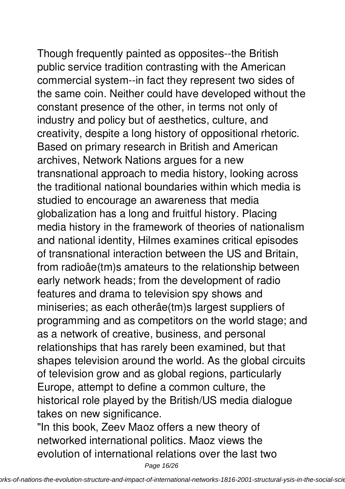Though frequently painted as opposites--the British public service tradition contrasting with the American commercial system--in fact they represent two sides of the same coin. Neither could have developed without the constant presence of the other, in terms not only of industry and policy but of aesthetics, culture, and creativity, despite a long history of oppositional rhetoric. Based on primary research in British and American archives, Network Nations argues for a new transnational approach to media history, looking across the traditional national boundaries within which media is studied to encourage an awareness that media globalization has a long and fruitful history. Placing media history in the framework of theories of nationalism and national identity, Hilmes examines critical episodes of transnational interaction between the US and Britain, from radioâe(tm)s amateurs to the relationship between early network heads; from the development of radio features and drama to television spy shows and miniseries; as each otherâe(tm)s largest suppliers of programming and as competitors on the world stage; and as a network of creative, business, and personal relationships that has rarely been examined, but that shapes television around the world. As the global circuits of television grow and as global regions, particularly Europe, attempt to define a common culture, the historical role played by the British/US media dialogue takes on new significance.

"In this book, Zeev Maoz offers a new theory of networked international politics. Maoz views the evolution of international relations over the last two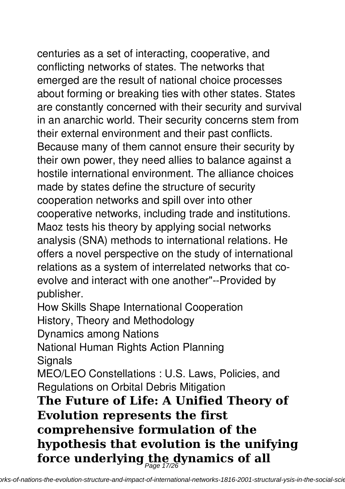centuries as a set of interacting, cooperative, and conflicting networks of states. The networks that emerged are the result of national choice processes about forming or breaking ties with other states. States are constantly concerned with their security and survival in an anarchic world. Their security concerns stem from

their external environment and their past conflicts. Because many of them cannot ensure their security by their own power, they need allies to balance against a hostile international environment. The alliance choices made by states define the structure of security cooperation networks and spill over into other cooperative networks, including trade and institutions. Maoz tests his theory by applying social networks analysis (SNA) methods to international relations. He offers a novel perspective on the study of international relations as a system of interrelated networks that coevolve and interact with one another"--Provided by publisher.

How Skills Shape International Cooperation

History, Theory and Methodology

Dynamics among Nations

National Human Rights Action Planning **Signals** 

MEO/LEO Constellations : U.S. Laws, Policies, and Regulations on Orbital Debris Mitigation

**The Future of Life: A Unified Theory of Evolution represents the first comprehensive formulation of the hypothesis that evolution is the unifying** force underlying the dynamics of all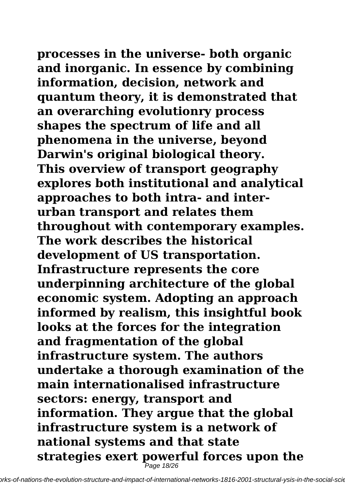**processes in the universe- both organic and inorganic. In essence by combining information, decision, network and quantum theory, it is demonstrated that an overarching evolutionry process shapes the spectrum of life and all phenomena in the universe, beyond Darwin's original biological theory. This overview of transport geography explores both institutional and analytical approaches to both intra- and interurban transport and relates them throughout with contemporary examples. The work describes the historical development of US transportation. Infrastructure represents the core underpinning architecture of the global economic system. Adopting an approach informed by realism, this insightful book looks at the forces for the integration and fragmentation of the global infrastructure system. The authors undertake a thorough examination of the main internationalised infrastructure sectors: energy, transport and information. They argue that the global infrastructure system is a network of national systems and that state strategies exert powerful forces upon the Page 18/26**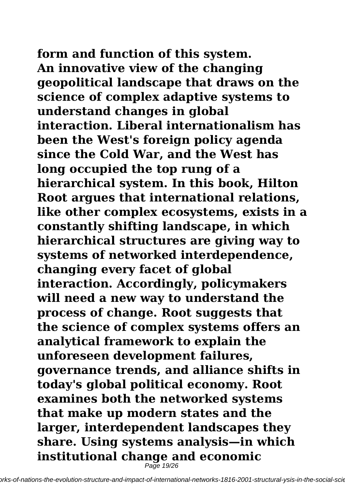**form and function of this system. An innovative view of the changing geopolitical landscape that draws on the science of complex adaptive systems to understand changes in global interaction. Liberal internationalism has been the West's foreign policy agenda since the Cold War, and the West has long occupied the top rung of a hierarchical system. In this book, Hilton Root argues that international relations, like other complex ecosystems, exists in a constantly shifting landscape, in which hierarchical structures are giving way to systems of networked interdependence, changing every facet of global interaction. Accordingly, policymakers will need a new way to understand the process of change. Root suggests that the science of complex systems offers an analytical framework to explain the unforeseen development failures, governance trends, and alliance shifts in today's global political economy. Root examines both the networked systems that make up modern states and the larger, interdependent landscapes they share. Using systems analysis—in which institutional change and economic**

Page 19/26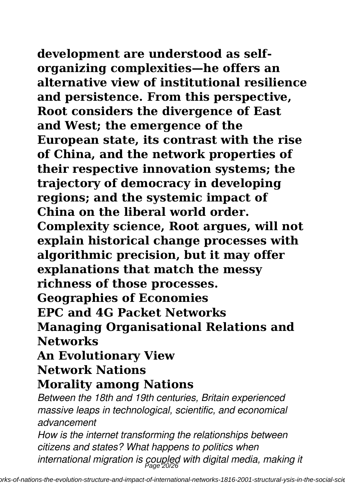**development are understood as selforganizing complexities—he offers an alternative view of institutional resilience and persistence. From this perspective, Root considers the divergence of East and West; the emergence of the European state, its contrast with the rise of China, and the network properties of their respective innovation systems; the trajectory of democracy in developing regions; and the systemic impact of China on the liberal world order. Complexity science, Root argues, will not explain historical change processes with algorithmic precision, but it may offer explanations that match the messy richness of those processes. Geographies of Economies EPC and 4G Packet Networks Managing Organisational Relations and Networks**

## **An Evolutionary View Network Nations**

## **Morality among Nations**

*Between the 18th and 19th centuries, Britain experienced massive leaps in technological, scientific, and economical advancement*

*How is the internet transforming the relationships between citizens and states? What happens to politics when international migration is coupled with digital media, making it* Page 20/26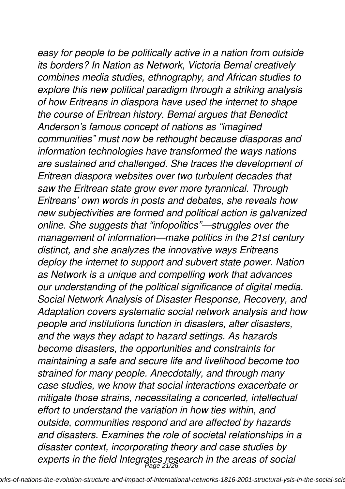*easy for people to be politically active in a nation from outside its borders? In Nation as Network, Victoria Bernal creatively combines media studies, ethnography, and African studies to explore this new political paradigm through a striking analysis of how Eritreans in diaspora have used the internet to shape the course of Eritrean history. Bernal argues that Benedict Anderson's famous concept of nations as "imagined communities" must now be rethought because diasporas and information technologies have transformed the ways nations are sustained and challenged. She traces the development of Eritrean diaspora websites over two turbulent decades that saw the Eritrean state grow ever more tyrannical. Through Eritreans' own words in posts and debates, she reveals how new subjectivities are formed and political action is galvanized online. She suggests that "infopolitics"—struggles over the management of information—make politics in the 21st century distinct, and she analyzes the innovative ways Eritreans deploy the internet to support and subvert state power. Nation as Network is a unique and compelling work that advances our understanding of the political significance of digital media. Social Network Analysis of Disaster Response, Recovery, and Adaptation covers systematic social network analysis and how people and institutions function in disasters, after disasters, and the ways they adapt to hazard settings. As hazards become disasters, the opportunities and constraints for maintaining a safe and secure life and livelihood become too strained for many people. Anecdotally, and through many case studies, we know that social interactions exacerbate or mitigate those strains, necessitating a concerted, intellectual effort to understand the variation in how ties within, and outside, communities respond and are affected by hazards and disasters. Examines the role of societal relationships in a disaster context, incorporating theory and case studies by experts in the field Integrates research in the areas of social* Page 21/26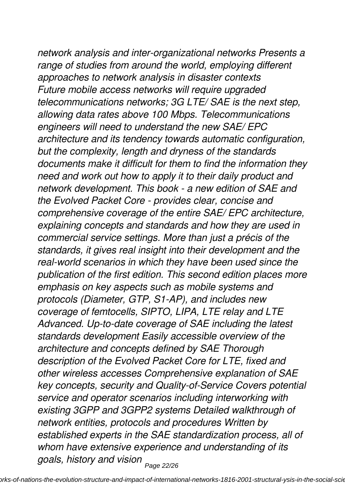*network analysis and inter-organizational networks Presents a range of studies from around the world, employing different approaches to network analysis in disaster contexts Future mobile access networks will require upgraded telecommunications networks; 3G LTE/ SAE is the next step, allowing data rates above 100 Mbps. Telecommunications engineers will need to understand the new SAE/ EPC architecture and its tendency towards automatic configuration, but the complexity, length and dryness of the standards documents make it difficult for them to find the information they need and work out how to apply it to their daily product and network development. This book - a new edition of SAE and the Evolved Packet Core - provides clear, concise and comprehensive coverage of the entire SAE/ EPC architecture, explaining concepts and standards and how they are used in commercial service settings. More than just a précis of the standards, it gives real insight into their development and the real-world scenarios in which they have been used since the publication of the first edition. This second edition places more emphasis on key aspects such as mobile systems and protocols (Diameter, GTP, S1-AP), and includes new coverage of femtocells, SIPTO, LIPA, LTE relay and LTE Advanced. Up-to-date coverage of SAE including the latest standards development Easily accessible overview of the architecture and concepts defined by SAE Thorough description of the Evolved Packet Core for LTE, fixed and other wireless accesses Comprehensive explanation of SAE key concepts, security and Quality-of-Service Covers potential service and operator scenarios including interworking with existing 3GPP and 3GPP2 systems Detailed walkthrough of network entities, protocols and procedures Written by established experts in the SAE standardization process, all of whom have extensive experience and understanding of its goals, history and vision* Page 22/26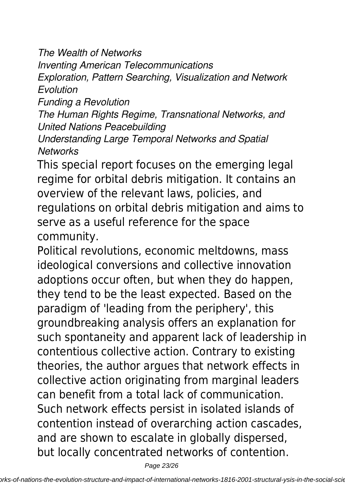*The Wealth of Networks*

*Inventing American Telecommunications*

*Exploration, Pattern Searching, Visualization and Network Evolution*

*Funding a Revolution*

*The Human Rights Regime, Transnational Networks, and United Nations Peacebuilding*

*Understanding Large Temporal Networks and Spatial Networks*

This special report focuses on the emerging legal regime for orbital debris mitigation. It contains an overview of the relevant laws, policies, and regulations on orbital debris mitigation and aims to serve as a useful reference for the space community.

Political revolutions, economic meltdowns, mass ideological conversions and collective innovation adoptions occur often, but when they do happen, they tend to be the least expected. Based on the paradigm of 'leading from the periphery', this groundbreaking analysis offers an explanation for such spontaneity and apparent lack of leadership in contentious collective action. Contrary to existing theories, the author argues that network effects in collective action originating from marginal leaders can benefit from a total lack of communication. Such network effects persist in isolated islands of contention instead of overarching action cascades, and are shown to escalate in globally dispersed, but locally concentrated networks of contention.

Page 23/26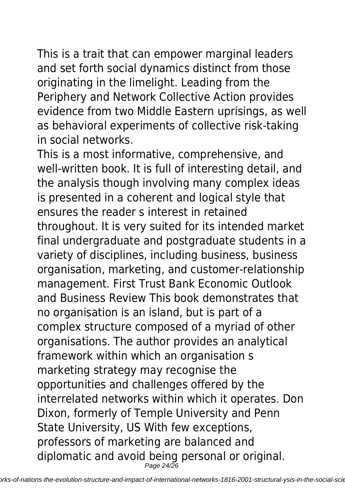This is a trait that can empower marginal leaders and set forth social dynamics distinct from those originating in the limelight. Leading from the Periphery and Network Collective Action provides evidence from two Middle Eastern uprisings, as well as behavioral experiments of collective risk-taking in social networks.

This is a most informative, comprehensive, and well-written book. It is full of interesting detail, and the analysis though involving many complex ideas is presented in a coherent and logical style that ensures the reader s interest in retained throughout. It is very suited for its intended market final undergraduate and postgraduate students in a variety of disciplines, including business, business organisation, marketing, and customer-relationship management. First Trust Bank Economic Outlook and Business Review This book demonstrates that no organisation is an island, but is part of a complex structure composed of a myriad of other organisations. The author provides an analytical framework within which an organisation s marketing strategy may recognise the opportunities and challenges offered by the interrelated networks within which it operates. Don Dixon, formerly of Temple University and Penn State University, US With few exceptions, professors of marketing are balanced and diplomatic and avoid being personal or original. Page 24/26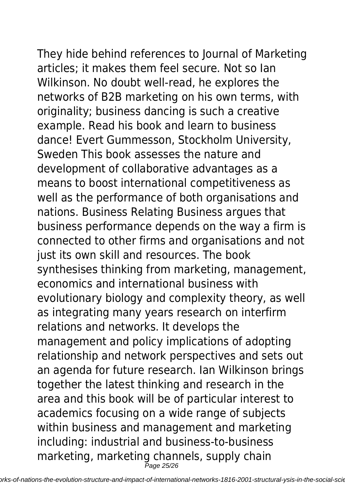They hide behind references to Journal of Marketing articles; it makes them feel secure. Not so Ian Wilkinson. No doubt well-read, he explores the networks of B2B marketing on his own terms, with originality; business dancing is such a creative example. Read his book and learn to business dance! Evert Gummesson, Stockholm University, Sweden This book assesses the nature and development of collaborative advantages as a means to boost international competitiveness as well as the performance of both organisations and nations. Business Relating Business argues that business performance depends on the way a firm is connected to other firms and organisations and not just its own skill and resources. The book synthesises thinking from marketing, management, economics and international business with evolutionary biology and complexity theory, as well as integrating many years research on interfirm relations and networks. It develops the management and policy implications of adopting relationship and network perspectives and sets out an agenda for future research. Ian Wilkinson brings together the latest thinking and research in the area and this book will be of particular interest to academics focusing on a wide range of subjects within business and management and marketing including: industrial and business-to-business marketing, marketing channels, supply chain Page 25/26